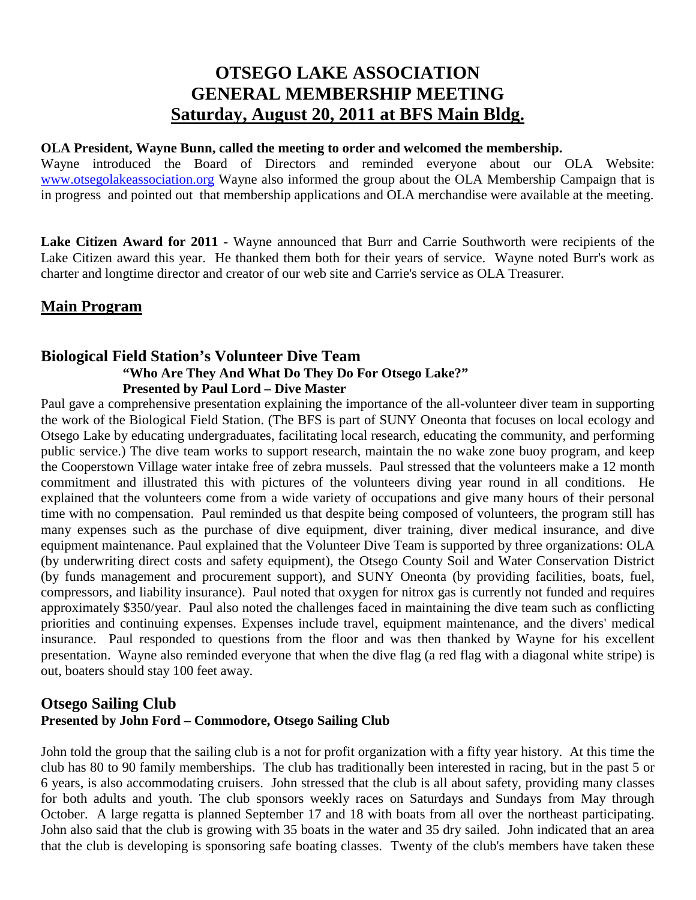# **OTSEGO LAKE ASSOCIATION GENERAL MEMBERSHIP MEETING Saturday, August 20, 2011 at BFS Main Bldg.**

#### **OLA President, Wayne Bunn, called the meeting to order and welcomed the membership.**

Wayne introduced the Board of Directors and reminded everyone about our OLA Website: [www.otsegolakeassociation.org](http://www.otsegolakeassociation.org/) Wayne also informed the group about the OLA Membership Campaign that is in progress and pointed out that membership applications and OLA merchandise were available at the meeting.

**Lake Citizen Award for 2011 -** Wayne announced that Burr and Carrie Southworth were recipients of the Lake Citizen award this year. He thanked them both for their years of service. Wayne noted Burr's work as charter and longtime director and creator of our web site and Carrie's service as OLA Treasurer.

## **Main Program**

### **Biological Field Station's Volunteer Dive Team "Who Are They And What Do They Do For Otsego Lake?" Presented by Paul Lord – Dive Master**

Paul gave a comprehensive presentation explaining the importance of the all-volunteer diver team in supporting the work of the Biological Field Station. (The BFS is part of SUNY Oneonta that focuses on local ecology and Otsego Lake by educating undergraduates, facilitating local research, educating the community, and performing public service.) The dive team works to support research, maintain the no wake zone buoy program, and keep the Cooperstown Village water intake free of zebra mussels. Paul stressed that the volunteers make a 12 month commitment and illustrated this with pictures of the volunteers diving year round in all conditions. He explained that the volunteers come from a wide variety of occupations and give many hours of their personal time with no compensation. Paul reminded us that despite being composed of volunteers, the program still has many expenses such as the purchase of dive equipment, diver training, diver medical insurance, and dive equipment maintenance. Paul explained that the Volunteer Dive Team is supported by three organizations: OLA (by underwriting direct costs and safety equipment), the Otsego County Soil and Water Conservation District (by funds management and procurement support), and SUNY Oneonta (by providing facilities, boats, fuel, compressors, and liability insurance). Paul noted that oxygen for nitrox gas is currently not funded and requires approximately \$350/year. Paul also noted the challenges faced in maintaining the dive team such as conflicting priorities and continuing expenses. Expenses include travel, equipment maintenance, and the divers' medical insurance. Paul responded to questions from the floor and was then thanked by Wayne for his excellent presentation. Wayne also reminded everyone that when the dive flag (a red flag with a diagonal white stripe) is out, boaters should stay 100 feet away.

#### **Otsego Sailing Club Presented by John Ford – Commodore, Otsego Sailing Club**

John told the group that the sailing club is a not for profit organization with a fifty year history. At this time the club has 80 to 90 family memberships. The club has traditionally been interested in racing, but in the past 5 or 6 years, is also accommodating cruisers. John stressed that the club is all about safety, providing many classes for both adults and youth. The club sponsors weekly races on Saturdays and Sundays from May through October. A large regatta is planned September 17 and 18 with boats from all over the northeast participating. John also said that the club is growing with 35 boats in the water and 35 dry sailed. John indicated that an area that the club is developing is sponsoring safe boating classes. Twenty of the club's members have taken these